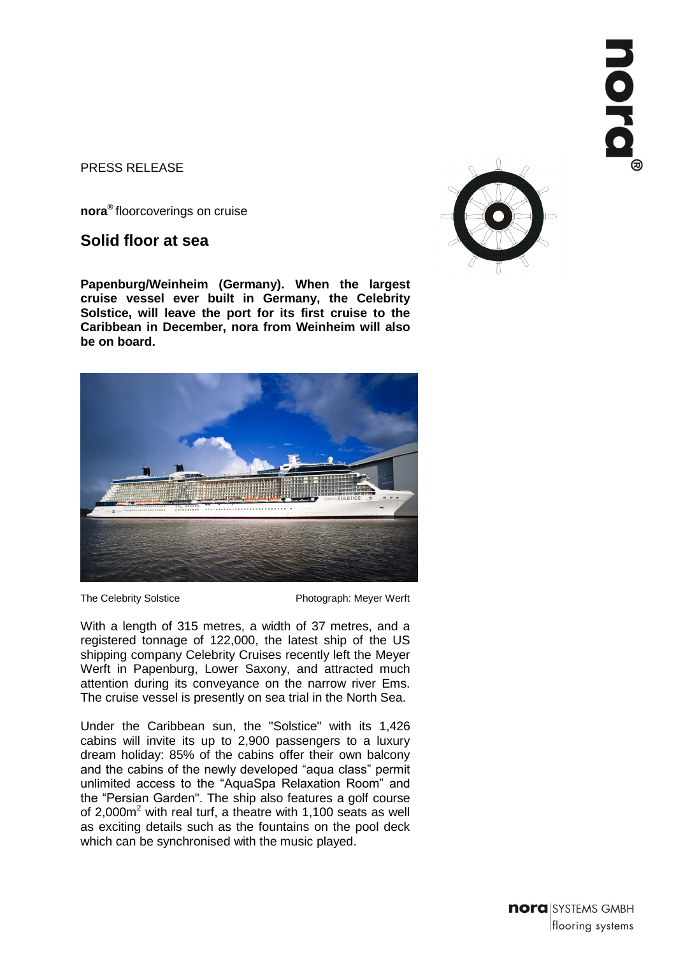### PRESS RELEASE

**nora®** floorcoverings on cruise

# **Solid floor at sea**

**Papenburg/Weinheim (Germany). When the largest cruise vessel ever built in Germany, the Celebrity Solstice, will leave the port for its first cruise to the Caribbean in December, nora from Weinheim will also be on board.**



The Celebrity Solstice **Photograph: Meyer Werft** 

With a length of 315 metres, a width of 37 metres, and a registered tonnage of 122,000, the latest ship of the US shipping company Celebrity Cruises recently left the Meyer Werft in Papenburg, Lower Saxony, and attracted much attention during its conveyance on the narrow river Ems. The cruise vessel is presently on sea trial in the North Sea.

Under the Caribbean sun, the "Solstice" with its 1,426 cabins will invite its up to 2,900 passengers to a luxury dream holiday: 85% of the cabins offer their own balcony and the cabins of the newly developed "aqua class" permit unlimited access to the "AquaSpa Relaxation Room" and the "Persian Garden". The ship also features a golf course of 2,000m<sup>2</sup> with real turf, a theatre with 1,100 seats as well as exciting details such as the fountains on the pool deck which can be synchronised with the music played.



nora